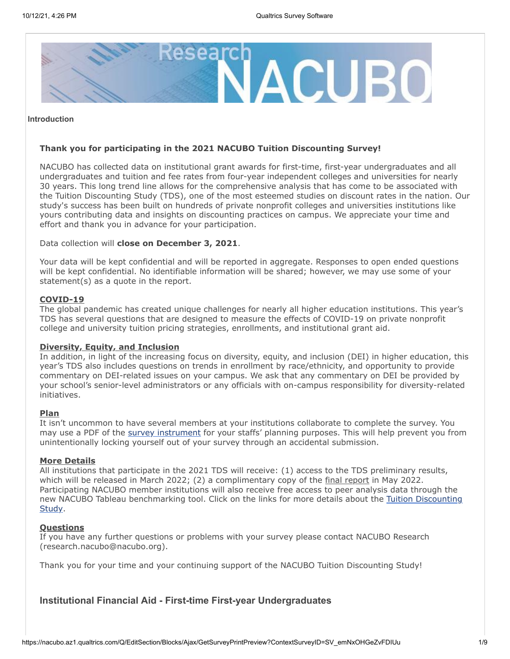

#### **Introduction**

#### **Thank you for participating in the 2021 NACUBO Tuition Discounting Survey!**

NACUBO has collected data on institutional grant awards for first-time, first-year undergraduates and all undergraduates and tuition and fee rates from four-year independent colleges and universities for nearly 30 years. This long trend line allows for the comprehensive analysis that has come to be associated with the Tuition Discounting Study (TDS), one of the most esteemed studies on discount rates in the nation. Our study's success has been built on hundreds of private nonprofit colleges and universities institutions like yours contributing data and insights on discounting practices on campus. We appreciate your time and effort and thank you in advance for your participation.

Data collection will **close on December 3, 2021**.

Your data will be kept confidential and will be reported in aggregate. Responses to open ended questions will be kept confidential. No identifiable information will be shared; however, we may use some of your statement(s) as a quote in the report.

#### **COVID-19**

The global pandemic has created unique challenges for nearly all higher education institutions. This year's TDS has several questions that are designed to measure the effects of COVID-19 on private nonprofit college and university tuition pricing strategies, enrollments, and institutional grant aid.

#### **Diversity, Equity, and Inclusion**

In addition, in light of the increasing focus on diversity, equity, and inclusion (DEI) in higher education, this year's TDS also includes questions on trends in enrollment by race/ethnicity, and opportunity to provide commentary on DEI-related issues on your campus. We ask that any commentary on DEI be provided by your school's senior-level administrators or any officials with on-campus responsibility for diversity-related initiatives.

#### **Plan**

It isn't uncommon to have several members at your institutions collaborate to complete the survey. You may use a PDF of the [survey instrument](https://www.nacubo.org/-/media/Nacubo/Documents/research/2021-TDS-Survey-Instrument---FINAL.ashx?la=en&hash=7CFAA7AD8DAA492B4FE864AC8E24B4E963C9938E) for your staffs' planning purposes. This will help prevent you from unintentionally locking yourself out of your survey through an accidental submission.

#### **More Details**

All institutions that participate in the 2021 TDS will receive: (1) access to the TDS preliminary results, which will be released in March 2022; (2) a complimentary copy of the final report in May 2022. Participating NACUBO member institutions will also receive free access to peer analysis data through the [new NACUBO Tableau benchmarking tool. Click on the links for more details about the Tuition Discounting](https://www.nacubo.org/Research/2020/NACUBO-Tuition-Discounting-Study) Study.

## **Questions**

If you have any further questions or problems with your survey please contact NACUBO Research (research.nacubo@nacubo.org).

Thank you for your time and your continuing support of the NACUBO Tuition Discounting Study!

## **Institutional Financial Aid - First-time First-year Undergraduates**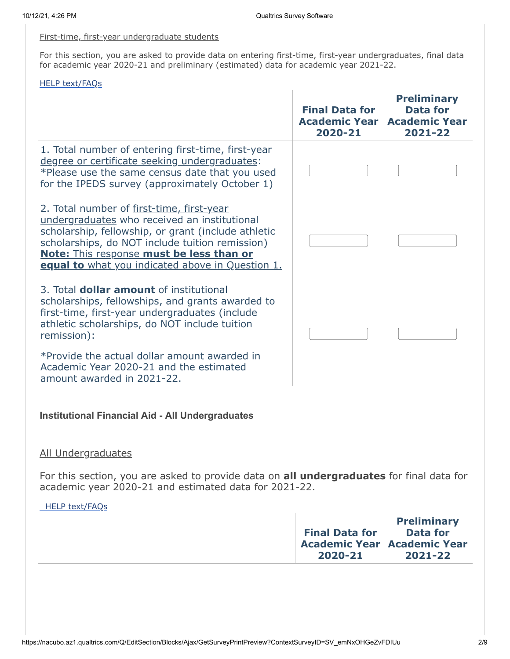$\overline{1}$ 

## First-time, first-year undergraduate students

For this section, you are asked to provide data on entering first-time, first-year undergraduates, final data for academic year 2020-21 and preliminary (estimated) data for academic year 2021-22.

### [HELP text/FAQs](https://www.nacubo.org/Research/2020/NACUBO-Tuition-Discounting-Study/Tuition-Discounting-Study-Help-Text-and-Glossary)

|                                                                                                                                                                                                                                                                                                            | <b>Final Data for</b><br><b>Academic Year</b><br>2020-21 | <b>Preliminary</b><br><b>Data for</b><br><b>Academic Year</b><br>2021-22               |
|------------------------------------------------------------------------------------------------------------------------------------------------------------------------------------------------------------------------------------------------------------------------------------------------------------|----------------------------------------------------------|----------------------------------------------------------------------------------------|
| 1. Total number of entering first-time, first-year<br>degree or certificate seeking undergraduates:<br>*Please use the same census date that you used<br>for the IPEDS survey (approximately October 1)                                                                                                    |                                                          |                                                                                        |
| 2. Total number of first-time, first-year<br>undergraduates who received an institutional<br>scholarship, fellowship, or grant (include athletic<br>scholarships, do NOT include tuition remission)<br><b>Note:</b> This response must be less than or<br>equal to what you indicated above in Question 1. |                                                          |                                                                                        |
| 3. Total <b>dollar amount</b> of institutional<br>scholarships, fellowships, and grants awarded to<br>first-time, first-year undergraduates (include<br>athletic scholarships, do NOT include tuition<br>remission):                                                                                       |                                                          |                                                                                        |
| *Provide the actual dollar amount awarded in<br>Academic Year 2020-21 and the estimated<br>amount awarded in 2021-22.                                                                                                                                                                                      |                                                          |                                                                                        |
| <b>Institutional Financial Aid - All Undergraduates</b>                                                                                                                                                                                                                                                    |                                                          |                                                                                        |
| <u>All Undergraduates</u>                                                                                                                                                                                                                                                                                  |                                                          |                                                                                        |
| For this section, you are asked to provide data on all undergraduates for final data for<br>academic year 2020-21 and estimated data for 2021-22.                                                                                                                                                          |                                                          |                                                                                        |
| HELP text/FAQs                                                                                                                                                                                                                                                                                             |                                                          |                                                                                        |
|                                                                                                                                                                                                                                                                                                            | <b>Final Data for</b><br>2020-21                         | <b>Preliminary</b><br><b>Data for</b><br><b>Academic Year Academic Year</b><br>2021-22 |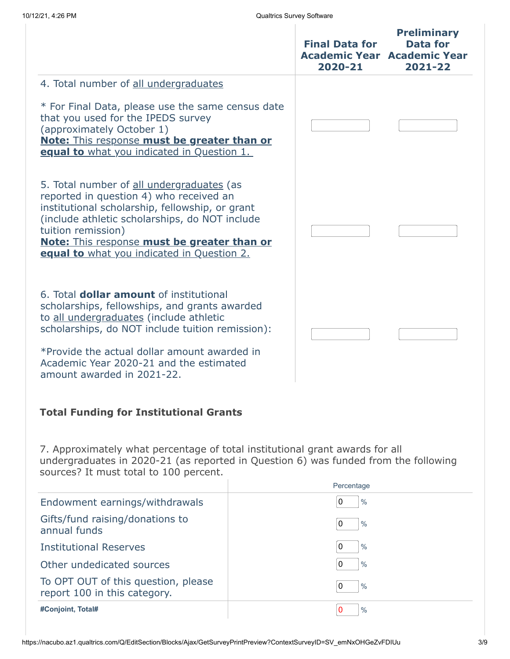|                                                                                                                                                                                                                                                                                                              |  | <b>Final Data for</b><br><b>Academic Year Academic Year</b><br>2020-21 | <b>Preliminary</b><br><b>Data for</b><br>2021-22 |
|--------------------------------------------------------------------------------------------------------------------------------------------------------------------------------------------------------------------------------------------------------------------------------------------------------------|--|------------------------------------------------------------------------|--------------------------------------------------|
| 4. Total number of all undergraduates                                                                                                                                                                                                                                                                        |  |                                                                        |                                                  |
| * For Final Data, please use the same census date<br>that you used for the IPEDS survey<br>(approximately October 1)<br><b>Note:</b> This response must be greater than or<br>equal to what you indicated in Question 1.                                                                                     |  |                                                                        |                                                  |
| 5. Total number of all undergraduates (as<br>reported in question 4) who received an<br>institutional scholarship, fellowship, or grant<br>(include athletic scholarships, do NOT include<br>tuition remission)<br>Note: This response must be greater than or<br>equal to what you indicated in Question 2. |  |                                                                        |                                                  |
| 6. Total <b>dollar amount</b> of institutional<br>scholarships, fellowships, and grants awarded<br>to all undergraduates (include athletic<br>scholarships, do NOT include tuition remission):<br>*Provide the actual dollar amount awarded in<br>Academic Year 2020-21 and the estimated                    |  |                                                                        |                                                  |
| amount awarded in 2021-22.<br><b>Total Funding for Institutional Grants</b>                                                                                                                                                                                                                                  |  |                                                                        |                                                  |
| 7. Approximately what percentage of total institutional grant awards for all<br>undergraduates in 2020-21 (as reported in Question 6) was funded from the following<br>sources? It must total to 100 percent.                                                                                                |  |                                                                        |                                                  |
|                                                                                                                                                                                                                                                                                                              |  | Percentage                                                             |                                                  |
| Endowment earnings/withdrawals                                                                                                                                                                                                                                                                               |  | 0<br>$\frac{0}{0}$                                                     |                                                  |
| Gifts/fund raising/donations to<br>annual funds                                                                                                                                                                                                                                                              |  | 0<br>$\frac{0}{0}$                                                     |                                                  |
| <b>Institutional Reserves</b>                                                                                                                                                                                                                                                                                |  | 0<br>$\frac{0}{0}$                                                     |                                                  |
| Other undedicated sources                                                                                                                                                                                                                                                                                    |  | 0<br>$\frac{0}{0}$                                                     |                                                  |
| To OPT OUT of this question, please<br>report 100 in this category.                                                                                                                                                                                                                                          |  | 0<br>$\frac{0}{0}$                                                     |                                                  |
| #Conjoint, Total#                                                                                                                                                                                                                                                                                            |  | $\pmb{0}$<br>$\frac{0}{0}$                                             |                                                  |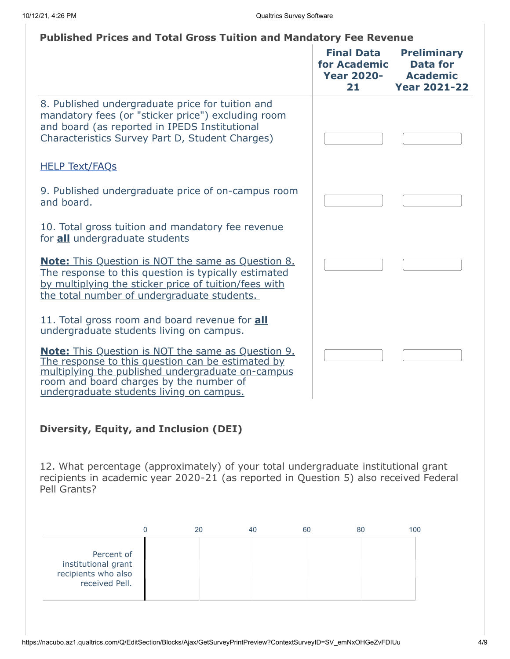# **Published Prices and Total Gross Tuition and Mandatory Fee Revenue**

|                                                                                                                                                                                                                                                            | <b>Final Data</b><br>for Academic<br><b>Year 2020-</b><br>21 | <b>Preliminary</b><br><b>Data for</b><br><b>Academic</b><br><b>Year 2021-22</b> |
|------------------------------------------------------------------------------------------------------------------------------------------------------------------------------------------------------------------------------------------------------------|--------------------------------------------------------------|---------------------------------------------------------------------------------|
| 8. Published undergraduate price for tuition and<br>mandatory fees (or "sticker price") excluding room<br>and board (as reported in IPEDS Institutional<br>Characteristics Survey Part D, Student Charges)                                                 |                                                              |                                                                                 |
| <b>HELP Text/FAQs</b>                                                                                                                                                                                                                                      |                                                              |                                                                                 |
| 9. Published undergraduate price of on-campus room<br>and board.                                                                                                                                                                                           |                                                              |                                                                                 |
| 10. Total gross tuition and mandatory fee revenue<br>for all undergraduate students                                                                                                                                                                        |                                                              |                                                                                 |
| <b>Note:</b> This Question is NOT the same as Question 8.<br>The response to this question is typically estimated<br>by multiplying the sticker price of tuition/fees with<br>the total number of undergraduate students.                                  |                                                              |                                                                                 |
| 11. Total gross room and board revenue for <b>all</b><br>undergraduate students living on campus.                                                                                                                                                          |                                                              |                                                                                 |
| <b>Note:</b> This Question is NOT the same as Question 9.<br>The response to this question can be estimated by<br>multiplying the published undergraduate on-campus<br>room and board charges by the number of<br>undergraduate students living on campus. |                                                              |                                                                                 |
| Diversity, Equity, and Inclusion (DEI)                                                                                                                                                                                                                     |                                                              |                                                                                 |
| 12. What percentage (approximately) of your total undergraduate institutional grant<br>recipients in academic year 2020-21 (as reported in Question 5) also received Federal<br>Pell Grants?                                                               |                                                              |                                                                                 |
|                                                                                                                                                                                                                                                            |                                                              |                                                                                 |

|                                                                            | 20 | 40 | 60 | 80 | 100 |
|----------------------------------------------------------------------------|----|----|----|----|-----|
| Percent of<br>institutional grant<br>recipients who also<br>received Pell. |    |    |    |    |     |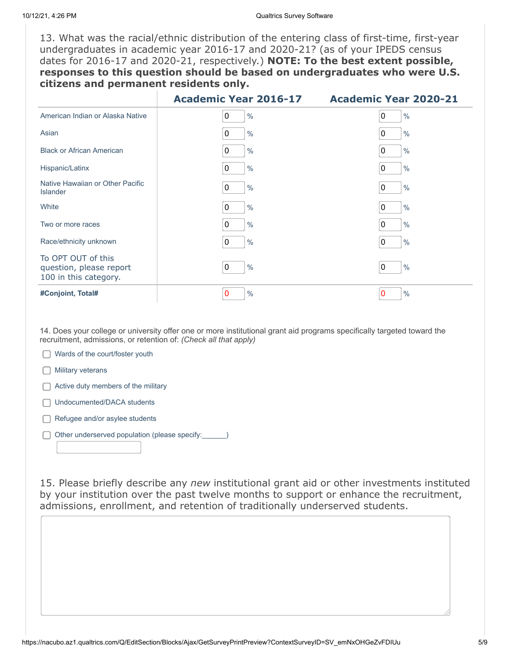13. What was the racial/ethnic distribution of the entering class of first-time, first-year undergraduates in academic year 2016-17 and 2020-21? (as of your IPEDS census dates for 2016-17 and 2020-21, respectively.) **NOTE: To the best extent possible, responses to this question should be based on undergraduates who were U.S. citizens and permanent residents only.**

|                                                                        | <b>Academic Year 2016-17</b> | <b>Academic Year 2020-21</b>  |
|------------------------------------------------------------------------|------------------------------|-------------------------------|
| American Indian or Alaska Native                                       | 0<br>$\frac{0}{0}$           | $\mathbf 0$<br>$\frac{0}{0}$  |
| Asian                                                                  | $\pmb{0}$<br>$\frac{0}{0}$   | $\mathbf{0}$<br>$\frac{0}{0}$ |
| <b>Black or African American</b>                                       | 0<br>$\frac{0}{0}$           | $\frac{0}{0}$<br>0            |
| Hispanic/Latinx                                                        | 0<br>$\frac{0}{0}$           | $\%$<br>0                     |
| Native Hawaiian or Other Pacific<br><b>Islander</b>                    | 0<br>$\frac{0}{0}$           | $\frac{0}{0}$<br>0            |
| White                                                                  | 0<br>$\frac{0}{0}$           | 0<br>$\%$                     |
| Two or more races                                                      | $\mathbf 0$<br>$\frac{0}{0}$ | 0<br>$\frac{0}{0}$            |
| Race/ethnicity unknown                                                 | $\pmb{0}$<br>$\frac{0}{0}$   | $\frac{0}{0}$<br>0            |
| To OPT OUT of this<br>question, please report<br>100 in this category. | $\mathbf 0$<br>$\frac{0}{0}$ | $\mathbf{0}$<br>$\frac{0}{0}$ |
| #Conjoint, Total#                                                      | 0<br>$\frac{0}{0}$           | $\frac{0}{0}$<br>0            |

14. Does your college or university offer one or more institutional grant aid programs specifically targeted toward the recruitment, admissions, or retention of: *(Check all that apply)*

Wards of the court/foster youth

**n** Military veterans

 $\Box$  Active duty members of the military

□ Undocumented/DACA students

 $\Box$  Refugee and/or asylee students

Other underserved population (please specify:  $\Box$ )

15. Please briefly describe any *new* institutional grant aid or other investments instituted by your institution over the past twelve months to support or enhance the recruitment, admissions, enrollment, and retention of traditionally underserved students.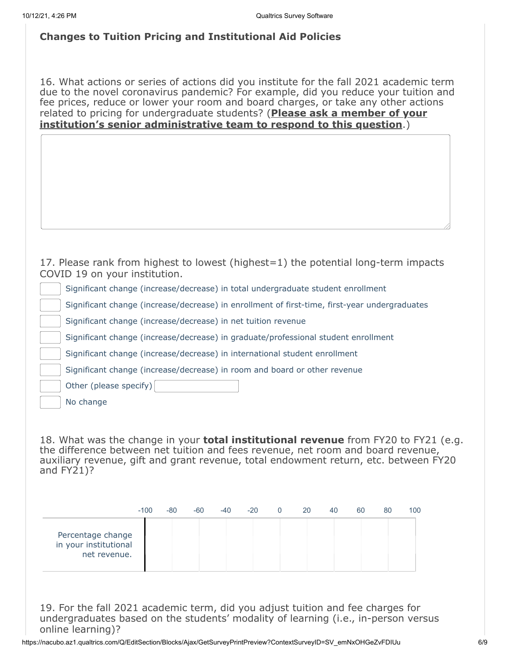# **Changes to Tuition Pricing and Institutional Aid Policies**

16. What actions or series of actions did you institute for the fall 2021 academic term due to the novel coronavirus pandemic? For example, did you reduce your tuition and fee prices, reduce or lower your room and board charges, or take any other actions related to pricing for undergraduate students? (**Please ask a member of your institution's senior administrative team to respond to this question**.)

|  |                               |  | 17. Please rank from highest to lowest (highest=1) the potential long-term impacts |  |
|--|-------------------------------|--|------------------------------------------------------------------------------------|--|
|  | COVID 19 on your institution. |  |                                                                                    |  |

Significant change (increase/decrease) in total undergraduate student enrollment

Significant change (increase/decrease) in enrollment of first-time, first-year undergraduates

Significant change (increase/decrease) in net tuition revenue

Significant change (increase/decrease) in graduate/professional student enrollment

Significant change (increase/decrease) in international student enrollment

Significant change (increase/decrease) in room and board or other revenue

Other (please specify)

No change

18. What was the change in your **total institutional revenue** from FY20 to FY21 (e.g. the difference between net tuition and fees revenue, net room and board revenue, auxiliary revenue, gift and grant revenue, total endowment return, etc. between FY20 and  $FY21$ )?

|                                                            | $-100$ | -80 | $-60$ | $-40$ | $-20$ | $\Omega$ | 20 | 40 | 60 | 80 | 100 |
|------------------------------------------------------------|--------|-----|-------|-------|-------|----------|----|----|----|----|-----|
| Percentage change<br>in your institutional<br>net revenue. |        |     |       |       |       |          |    |    |    |    |     |

19. For the fall 2021 academic term, did you adjust tuition and fee charges for undergraduates based on the students' modality of learning (i.e., in-person versus online learning)?

https://nacubo.az1.qualtrics.com/Q/EditSection/Blocks/Ajax/GetSurveyPrintPreview?ContextSurveyID=SV\_emNxOHGeZvFDIUu 6/9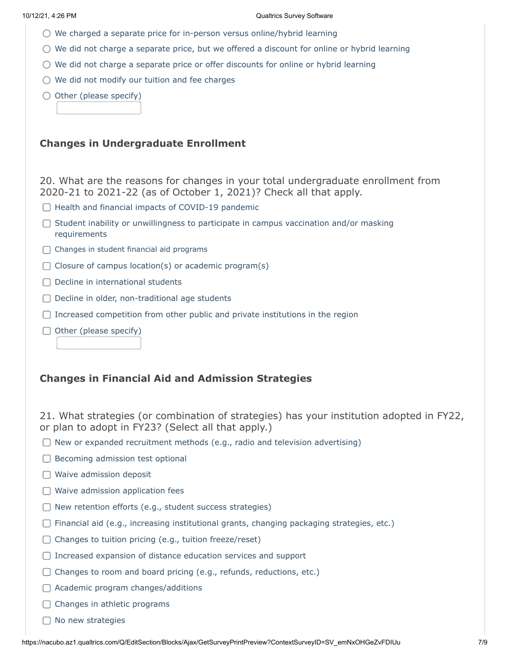- $\bigcirc$  We charged a separate price for in-person versus online/hybrid learning
- $\bigcirc$  We did not charge a separate price, but we offered a discount for online or hybrid learning
- $\bigcirc$  We did not charge a separate price or offer discounts for online or hybrid learning
- $\bigcirc$  We did not modify our tuition and fee charges
- $\bigcirc$  Other (please specify)

## **Changes in Undergraduate Enrollment**

20. What are the reasons for changes in your total undergraduate enrollment from 2020-21 to 2021-22 (as of October 1, 2021)? Check all that apply.

- $\Box$  Health and financial impacts of COVID-19 pandemic
- $\Box$  Student inability or unwillingness to participate in campus vaccination and/or masking requirements
- C Changes in student financial aid programs
- $\Box$  Closure of campus location(s) or academic program(s)
- $\Box$  Decline in international students
- $\Box$  Decline in older, non-traditional age students
- $\Box$  Increased competition from other public and private institutions in the region
- $\Box$  Other (please specify)

## **Changes in Financial Aid and Admission Strategies**

21. What strategies (or combination of strategies) has your institution adopted in FY22, or plan to adopt in FY23? (Select all that apply.)

- $\Box$  New or expanded recruitment methods (e.g., radio and television advertising)
- $\Box$  Becoming admission test optional
- $\bigcap$  Waive admission deposit
- $\Box$  Waive admission application fees
- $\Box$  New retention efforts (e.g., student success strategies)
- Financial aid (e.g., increasing institutional grants, changing packaging strategies, etc.)
- $\Box$  Changes to tuition pricing (e.g., tuition freeze/reset)
- $\Box$  Increased expansion of distance education services and support
- $\Box$  Changes to room and board pricing (e.g., refunds, reductions, etc.)
- $\Box$  Academic program changes/additions
- $\Box$  Changes in athletic programs
- □ No new strategies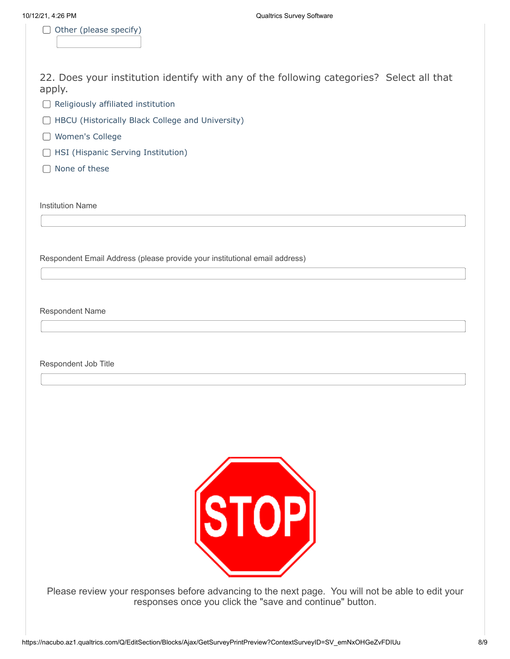$\Box$  Other (please specify)

22. Does your institution identify with any of the following categories? Select all that apply.

 $\Box$  Religiously affiliated institution

- □ HBCU (Historically Black College and University)
- Women's College
- □ HSI (Hispanic Serving Institution)
- $\Box$  None of these

Institution Name

Respondent Email Address (please provide your institutional email address)

Respondent Name

Respondent Job Title



Please review your responses before advancing to the next page. You will not be able to edit your responses once you click the "save and continue" button.